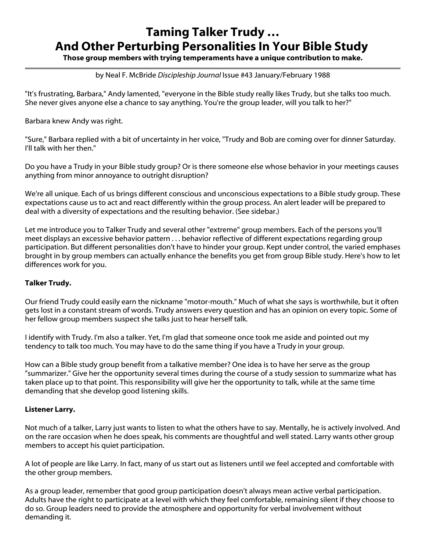# Taming Talker Trudy … And Other Perturbing Personalities In Your Bible Study

Those group members with trying temperaments have a unique contribution to make.

#### by Neal F. McBride *Discipleship Journal* Issue #43 January/February 1988

"It's frustrating, Barbara," Andy lamented, "everyone in the Bible study really likes Trudy, but she talks too much. She never gives anyone else a chance to say anything. You're the group leader, will you talk to her?"

Barbara knew Andy was right.

"Sure," Barbara replied with a bit of uncertainty in her voice, "Trudy and Bob are coming over for dinner Saturday. I'll talk with her then."

Do you have a Trudy in your Bible study group? Or is there someone else whose behavior in your meetings causes anything from minor annoyance to outright disruption?

We're all unique. Each of us brings different conscious and unconscious expectations to a Bible study group. These expectations cause us to act and react differently within the group process. An alert leader will be prepared to deal with a diversity of expectations and the resulting behavior. (See sidebar.)

Let me introduce you to Talker Trudy and several other "extreme" group members. Each of the persons you'll meet displays an excessive behavior pattern . . . behavior reflective of different expectations regarding group participation. But different personalities don't have to hinder your group. Kept under control, the varied emphases brought in by group members can actually enhance the benefits you get from group Bible study. Here's how to let differences work for you.

### Talker Trudy.

Our friend Trudy could easily earn the nickname "motor-mouth." Much of what she says is worthwhile, but it often gets lost in a constant stream of words. Trudy answers every question and has an opinion on every topic. Some of her fellow group members suspect she talks just to hear herself talk.

I identify with Trudy. I'm also a talker. Yet, I'm glad that someone once took me aside and pointed out my tendency to talk too much. You may have to do the same thing if you have a Trudy in your group.

How can a Bible study group benefit from a talkative member? One idea is to have her serve as the group "summarizer." Give her the opportunity several times during the course of a study session to summarize what has taken place up to that point. This responsibility will give her the opportunity to talk, while at the same time demanding that she develop good listening skills.

### Listener Larry.

Not much of a talker, Larry just wants to listen to what the others have to say. Mentally, he is actively involved. And on the rare occasion when he does speak, his comments are thoughtful and well stated. Larry wants other group members to accept his quiet participation.

A lot of people are like Larry. In fact, many of us start out as listeners until we feel accepted and comfortable with the other group members.

As a group leader, remember that good group participation doesn't always mean active verbal participation. Adults have the right to participate at a level with which they feel comfortable, remaining silent if they choose to do so. Group leaders need to provide the atmosphere and opportunity for verbal involvement without demanding it.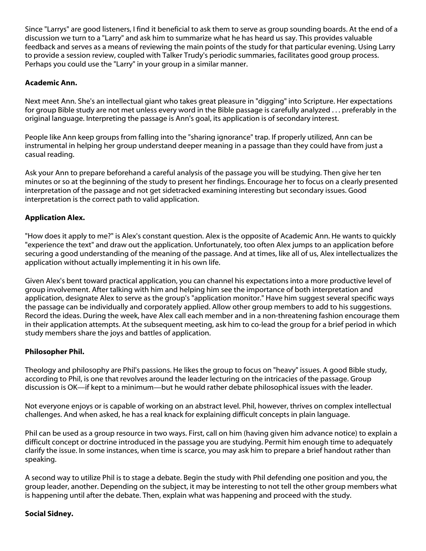Since "Larrys" are good listeners, I find it beneficial to ask them to serve as group sounding boards. At the end of a discussion we turn to a "Larry" and ask him to summarize what he has heard us say. This provides valuable feedback and serves as a means of reviewing the main points of the study for that particular evening. Using Larry to provide a session review, coupled with Talker Trudy's periodic summaries, facilitates good group process. Perhaps you could use the "Larry" in your group in a similar manner.

## Academic Ann.

Next meet Ann. She's an intellectual giant who takes great pleasure in "digging" into Scripture. Her expectations for group Bible study are not met unless every word in the Bible passage is carefully analyzed . . . preferably in the original language. Interpreting the passage is Ann's goal, its application is of secondary interest.

People like Ann keep groups from falling into the "sharing ignorance" trap. If properly utilized, Ann can be instrumental in helping her group understand deeper meaning in a passage than they could have from just a casual reading.

Ask your Ann to prepare beforehand a careful analysis of the passage you will be studying. Then give her ten minutes or so at the beginning of the study to present her findings. Encourage her to focus on a clearly presented interpretation of the passage and not get sidetracked examining interesting but secondary issues. Good interpretation is the correct path to valid application.

## Application Alex.

"How does it apply to me?" is Alex's constant question. Alex is the opposite of Academic Ann. He wants to quickly "experience the text" and draw out the application. Unfortunately, too often Alex jumps to an application before securing a good understanding of the meaning of the passage. And at times, like all of us, Alex intellectualizes the application without actually implementing it in his own life.

Given Alex's bent toward practical application, you can channel his expectations into a more productive level of group involvement. After talking with him and helping him see the importance of both interpretation and application, designate Alex to serve as the group's "application monitor." Have him suggest several specific ways the passage can be individually and corporately applied. Allow other group members to add to his suggestions. Record the ideas. During the week, have Alex call each member and in a non-threatening fashion encourage them in their application attempts. At the subsequent meeting, ask him to co-lead the group for a brief period in which study members share the joys and battles of application.

### Philosopher Phil.

Theology and philosophy are Phil's passions. He likes the group to focus on "heavy" issues. A good Bible study, according to Phil, is one that revolves around the leader lecturing on the intricacies of the passage. Group discussion is OK—if kept to a minimum—but he would rather debate philosophical issues with the leader.

Not everyone enjoys or is capable of working on an abstract level. Phil, however, thrives on complex intellectual challenges. And when asked, he has a real knack for explaining difficult concepts in plain language.

Phil can be used as a group resource in two ways. First, call on him (having given him advance notice) to explain a difficult concept or doctrine introduced in the passage you are studying. Permit him enough time to adequately clarify the issue. In some instances, when time is scarce, you may ask him to prepare a brief handout rather than speaking.

A second way to utilize Phil is to stage a debate. Begin the study with Phil defending one position and you, the group leader, another. Depending on the subject, it may be interesting to not tell the other group members what is happening until after the debate. Then, explain what was happening and proceed with the study.

### Social Sidney.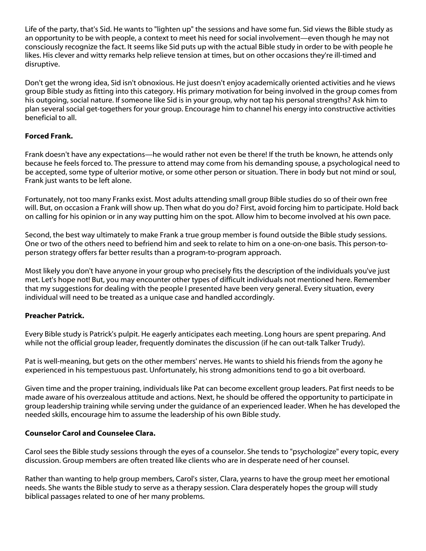Life of the party, that's Sid. He wants to "lighten up" the sessions and have some fun. Sid views the Bible study as an opportunity to be with people, a context to meet his need for social involvement—even though he may not consciously recognize the fact. It seems like Sid puts up with the actual Bible study in order to be with people he likes. His clever and witty remarks help relieve tension at times, but on other occasions they're ill-timed and disruptive.

Don't get the wrong idea, Sid isn't obnoxious. He just doesn't enjoy academically oriented activities and he views group Bible study as fitting into this category. His primary motivation for being involved in the group comes from his outgoing, social nature. If someone like Sid is in your group, why not tap his personal strengths? Ask him to plan several social get-togethers for your group. Encourage him to channel his energy into constructive activities beneficial to all.

## Forced Frank.

Frank doesn't have any expectations—he would rather not even be there! If the truth be known, he attends only because he feels forced to. The pressure to attend may come from his demanding spouse, a psychological need to be accepted, some type of ulterior motive, or some other person or situation. There in body but not mind or soul, Frank just wants to be left alone.

Fortunately, not too many Franks exist. Most adults attending small group Bible studies do so of their own free will. But, on occasion a Frank will show up. Then what do you do? First, avoid forcing him to participate. Hold back on calling for his opinion or in any way putting him on the spot. Allow him to become involved at his own pace.

Second, the best way ultimately to make Frank a true group member is found outside the Bible study sessions. One or two of the others need to befriend him and seek to relate to him on a one-on-one basis. This person-toperson strategy offers far better results than a program-to-program approach.

Most likely you don't have anyone in your group who precisely fits the description of the individuals you've just met. Let's hope not! But, you may encounter other types of difficult individuals not mentioned here. Remember that my suggestions for dealing with the people I presented have been very general. Every situation, every individual will need to be treated as a unique case and handled accordingly.

### Preacher Patrick.

Every Bible study is Patrick's pulpit. He eagerly anticipates each meeting. Long hours are spent preparing. And while not the official group leader, frequently dominates the discussion (if he can out-talk Talker Trudy).

Pat is well-meaning, but gets on the other members' nerves. He wants to shield his friends from the agony he experienced in his tempestuous past. Unfortunately, his strong admonitions tend to go a bit overboard.

Given time and the proper training, individuals like Pat can become excellent group leaders. Pat first needs to be made aware of his overzealous attitude and actions. Next, he should be offered the opportunity to participate in group leadership training while serving under the guidance of an experienced leader. When he has developed the needed skills, encourage him to assume the leadership of his own Bible study.

### Counselor Carol and Counselee Clara.

Carol sees the Bible study sessions through the eyes of a counselor. She tends to "psychologize" every topic, every discussion. Group members are often treated like clients who are in desperate need of her counsel.

Rather than wanting to help group members, Carol's sister, Clara, yearns to have the group meet her emotional needs. She wants the Bible study to serve as a therapy session. Clara desperately hopes the group will study biblical passages related to one of her many problems.